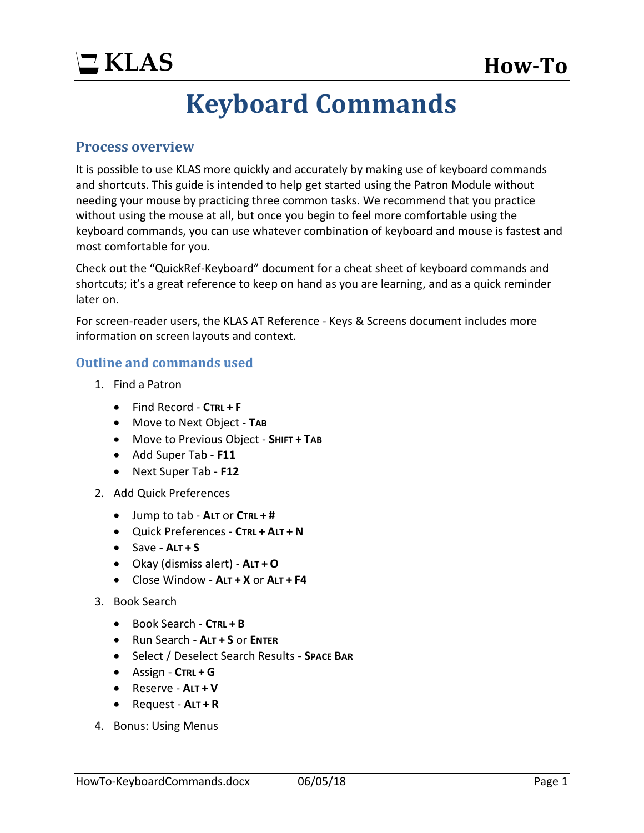## **Keyboard Commands**

#### **Process overview**

It is possible to use KLAS more quickly and accurately by making use of keyboard commands and shortcuts. This guide is intended to help get started using the Patron Module without needing your mouse by practicing three common tasks. We recommend that you practice without using the mouse at all, but once you begin to feel more comfortable using the keyboard commands, you can use whatever combination of keyboard and mouse is fastest and most comfortable for you.

Check out the "QuickRef-Keyboard" document for a cheat sheet of keyboard commands and shortcuts; it's a great reference to keep on hand as you are learning, and as a quick reminder later on.

For screen-reader users, the KLAS AT Reference - Keys & Screens document includes more information on screen layouts and context.

#### **Outline and commands used**

- 1. Find a Patron
	- Find Record **CTRL + F**
	- Move to Next Object **TAB**
	- Move to Previous Object **SHIFT + TAB**
	- Add Super Tab **F11**
	- Next Super Tab **F12**
- 2. Add Quick Preferences
	- Jump to tab **ALT** or **CTRL + #**
	- Quick Preferences **CTRL + ALT + N**
	- $\bullet$  Save  $A \cup I + S$
	- Okay (dismiss alert) **ALT + O**
	- Close Window **ALT + X** or **ALT + F4**
- 3. Book Search
	- Book Search **CTRL + B**
	- Run Search **ALT + S** or **ENTER**
	- Select / Deselect Search Results **SPACE BAR**
	- Assign **CTRL + G**
	- Reserve **ALT + V**
	- Request **ALT + R**
- 4. Bonus: Using Menus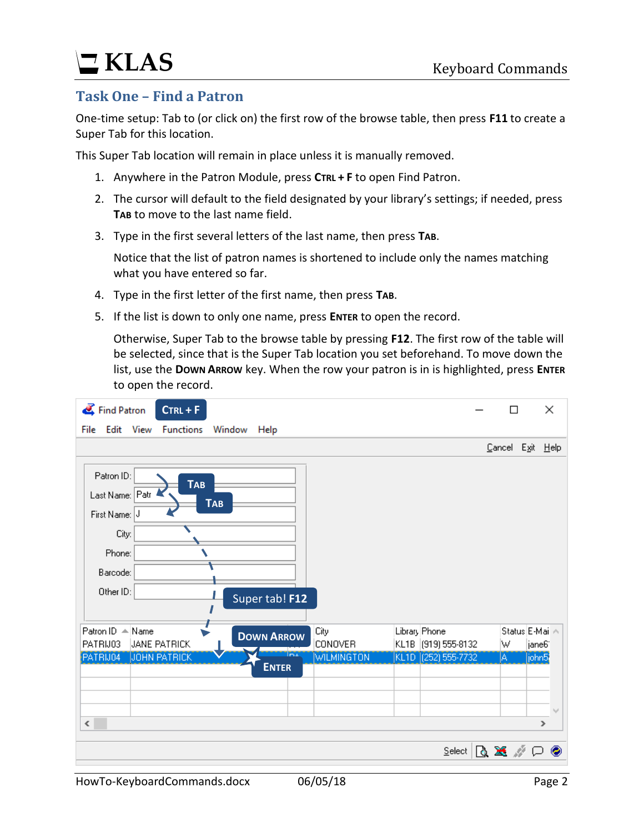# **KLAS** Keyboard Commands

### **Task One – Find a Patron**

One-time setup: Tab to (or click on) the first row of the browse table, then press **F11** to create a Super Tab for this location.

This Super Tab location will remain in place unless it is manually removed.

- 1. Anywhere in the Patron Module, press **CTRL + F** to open Find Patron.
- 2. The cursor will default to the field designated by your library's settings; if needed, press **TAB** to move to the last name field.
- 3. Type in the first several letters of the last name, then press **TAB**.

Notice that the list of patron names is shortened to include only the names matching what you have entered so far.

- 4. Type in the first letter of the first name, then press **TAB**.
- 5. If the list is down to only one name, press **ENTER** to open the record.

Otherwise, Super Tab to the browse table by pressing **F12**. The first row of the table will be selected, since that is the Super Tab location you set beforehand. To move down the list, use the **DOWN ARROW** key. When the row your patron is in is highlighted, press **ENTER** to open the record.

| Find Patron<br>$CrRL + F$                                                                                                                |                           | ×<br>П                               |
|------------------------------------------------------------------------------------------------------------------------------------------|---------------------------|--------------------------------------|
| Edit<br>View<br><b>Functions</b><br>File<br>Window<br>Help                                                                               |                           |                                      |
|                                                                                                                                          |                           | Cancel Exit Help                     |
| Patron ID:<br><b>TAB</b><br>Last Name: Patr<br><b>TAB</b><br>First Name: J<br>City:<br>Phone:<br>Barcode:<br>Other ID:<br>Super tab! F12 |                           |                                      |
| Patron ID A Name<br>Library Phone<br>City<br><b>DOWN ARROW</b><br><b>CONOVER</b><br>PATRIJ03<br><b>JANE PATRICK</b>                      | KL1B (919) 555-8132<br>W  | Status E-Mai A<br>jane6 <sup>-</sup> |
| Tax<br>PATRIJ04<br><b>JOHN PATRICK</b><br><b>WILMINGTON</b>                                                                              | KL1D (252) 555-7732<br>A. | john5                                |
| <b>ENTER</b>                                                                                                                             |                           |                                      |
|                                                                                                                                          |                           |                                      |
|                                                                                                                                          |                           |                                      |
| $\leq$                                                                                                                                   |                           | $\rightarrow$                        |
|                                                                                                                                          | $S$ elect                 | ß≋∥C<br>◉                            |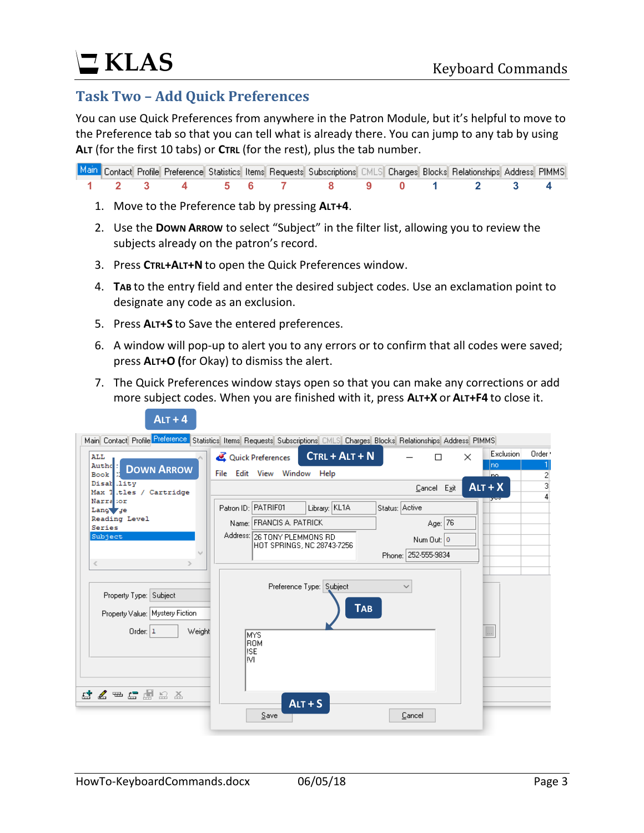### **Task Two – Add Quick Preferences**

You can use Quick Preferences from anywhere in the Patron Module, but it's helpful to move to the Preference tab so that you can tell what is already there. You can jump to any tab by using **ALT** (for the first 10 tabs) or **CTRL** (for the rest), plus the tab number.

|  |  |  | Main Contact Profile Preference Statistics Items Requests Subscriptions CMLS Charges Blocks Relationships Address PIMMS |  |  |  |
|--|--|--|-------------------------------------------------------------------------------------------------------------------------|--|--|--|
|  |  |  | 1 2 3 4 5 6 7 8 9 0 1 2 3 4                                                                                             |  |  |  |

- 1. Move to the Preference tab by pressing **ALT+4**.
- 2. Use the **DOWN ARROW** to select "Subject" in the filter list, allowing you to review the subjects already on the patron's record.
- 3. Press **CTRL+ALT+N** to open the Quick Preferences window.
- 4. **TAB** to the entry field and enter the desired subject codes. Use an exclamation point to designate any code as an exclusion.
- 5. Press **ALT+S** to Save the entered preferences.

 $A \cdot \mathbf{r} + A$ 

- 6. A window will pop-up to alert you to any errors or to confirm that all codes were saved; press **ALT+O (**for Okay) to dismiss the alert.
- 7. The Quick Preferences window stays open so that you can make any corrections or add more subject codes. When you are finished with it, press **ALT+X** or **ALT+F4** to close it.

| <b>ALL</b><br>Authe:                  |                     | Quick Preferences            | $CTRL + ALT + N$           |                | П            | × | <b>Exclusion</b><br>Ino. | Order <sup>1</sup> |
|---------------------------------------|---------------------|------------------------------|----------------------------|----------------|--------------|---|--------------------------|--------------------|
| <b>DOWN ARROW</b><br>Book             |                     | File Edit View Window Help   |                            |                |              |   | no.                      | 2                  |
| Disak lity<br>Max 1 itles / Cartridge |                     |                              |                            |                | Cancel Exit  |   | $ALT + X$                | 3                  |
| Narra :or<br>Lang ye                  | Patron ID: PATRIF01 |                              | Library: KL1A              | Status: Active |              |   |                          |                    |
| Reading Level                         |                     | Name: FRANCIS A. PATRICK     |                            |                | Age: 76      |   |                          |                    |
| Series<br>Subject                     |                     | Address: 26 TONY PLEMMONS RD | HOT SPRINGS, NC 28743-7256 |                | Num Out: 0   |   |                          |                    |
|                                       |                     |                              |                            | Phone: I       | 252-555-9834 |   |                          |                    |
| $\,<$                                 |                     |                              |                            |                |              |   |                          |                    |
|                                       |                     |                              | Preference Type: Subject   | $\checkmark$   |              |   |                          |                    |
| Property Type: Subject                |                     |                              |                            |                |              |   |                          |                    |
| Property Value: Mystery Fiction       |                     |                              | <b>TAB</b>                 |                |              |   |                          |                    |
|                                       |                     |                              |                            |                |              |   |                          |                    |
| Order: $ 1$<br>Weight                 |                     | <b>MYS</b>                   |                            |                |              |   | $\ldots$                 |                    |
|                                       | lise.               | <b>ROM</b>                   |                            |                |              |   |                          |                    |
|                                       | lм                  |                              |                            |                |              |   |                          |                    |
|                                       |                     |                              |                            |                |              |   |                          |                    |
|                                       |                     |                              |                            |                |              |   |                          |                    |
| <b>⊡ ॾ ⇔ ⊑ ﷺ</b> ഓ Ӡ                  |                     |                              | $ALT + S$                  |                |              |   |                          |                    |
|                                       |                     |                              |                            |                |              |   |                          |                    |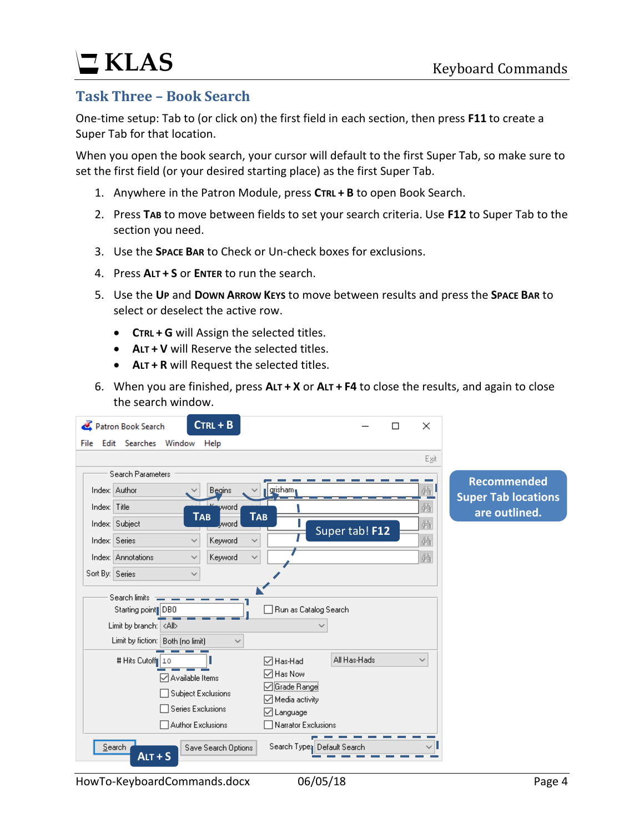# **KLAS** Keyboard Commands

#### **Task Three – Book Search**

One-time setup: Tab to (or click on) the first field in each section, then press **F11** to create a Super Tab for that location.

When you open the book search, your cursor will default to the first Super Tab, so make sure to set the first field (or your desired starting place) as the first Super Tab.

- 1. Anywhere in the Patron Module, press **CTRL + B** to open Book Search.
- 2. Press **TAB** to move between fields to set your search criteria. Use **F12** to Super Tab to the section you need.
- 3. Use the **SPACE BAR** to Check or Un-check boxes for exclusions.
- 4. Press **ALT + S** or **ENTER** to run the search.
- 5. Use the **UP** and **DOWN ARROW KEYS** to move between results and press the **SPACE BAR** to select or deselect the active row.
	- **CTRL + G** will Assign the selected titles.
	- **ALT + V** will Reserve the selected titles.
	- **ALT + R** will Request the selected titles.
- 6. When you are finished, press **ALT + X** or **ALT + F4** to close the results, and again to close the search window.

|                 | Patron Book Search                    |                   |              | $CTRL + B$                |                                         |                |  | ×            |                                             |
|-----------------|---------------------------------------|-------------------|--------------|---------------------------|-----------------------------------------|----------------|--|--------------|---------------------------------------------|
|                 | File Edit Searches Window             |                   |              | Help                      |                                         |                |  |              |                                             |
|                 |                                       |                   |              |                           |                                         |                |  | Exit         |                                             |
|                 | <b>Search Parameters</b>              |                   |              |                           |                                         |                |  |              | <b>Recommended</b>                          |
| Index: Author   |                                       |                   |              | Begins                    | ll quisham                              |                |  | 風            |                                             |
| Index:          | Title                                 |                   |              | pword                     |                                         |                |  | 繭            | <b>Super Tab locations</b><br>are outlined. |
| Index: Subject  |                                       |                   |              | <b>TAB</b><br>word        | <b>TAB</b>                              |                |  | 萵            |                                             |
| Index: Series   |                                       |                   | ୰            | Keyword                   | $\checkmark$                            | Super tab! F12 |  | 繭            |                                             |
|                 | Index: Annotations                    |                   | $\checkmark$ | Keyword                   | $\checkmark$                            |                |  | 萵            |                                             |
| Sort By: Series |                                       |                   | $\checkmark$ |                           |                                         |                |  |              |                                             |
|                 | Search limits<br>Starting point   DB0 |                   |              |                           | Run as Catalog Search                   |                |  |              |                                             |
|                 | Limit by branch: <all></all>          |                   |              |                           |                                         |                |  |              |                                             |
|                 | Limit by fiction:   Both (no limit)   |                   |              | $\checkmark$              |                                         |                |  |              |                                             |
|                 | # Hits Cutoff 10                      | □ Available Items |              |                           | <b>□</b> Has-Had<br>▽ Has Now           | All Has-Hads   |  | $\checkmark$ |                                             |
|                 |                                       |                   |              | <b>Subject Exclusions</b> | Grade Range<br>$\boxdot$ Media activity |                |  |              |                                             |
|                 | Series Exclusions                     |                   |              |                           |                                         |                |  |              |                                             |
|                 |                                       |                   |              | Author Exclusions         | √ Language<br>Narrator Exclusions       |                |  |              |                                             |
| Search          | $AIT + S$                             |                   |              | Save Search Options       | Search Type: Default Search             |                |  |              |                                             |